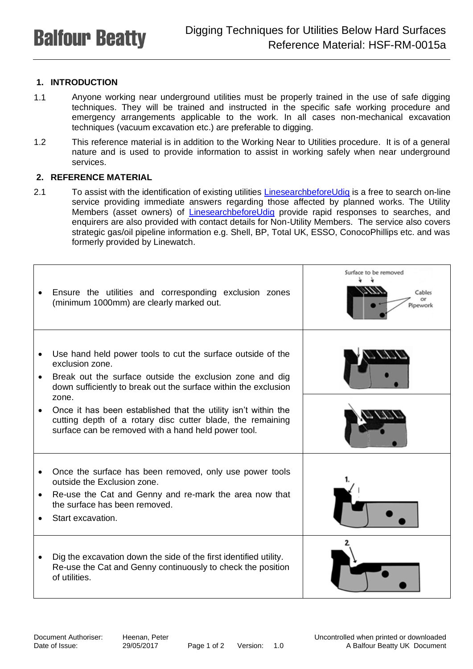## **1. INTRODUCTION**

- 1.1 Anyone working near underground utilities must be properly trained in the use of safe digging techniques. They will be trained and instructed in the specific safe working procedure and emergency arrangements applicable to the work. In all cases non-mechanical excavation techniques (vacuum excavation etc.) are preferable to digging.
- 1.2 This reference material is in addition to the Working Near to Utilities procedure. It is of a general nature and is used to provide information to assist in working safely when near underground services.

## **2. REFERENCE MATERIAL**

2.1 To assist with the identification of existing utilities [LinesearchbeforeUdig](https://www.linesearchbeforeudig.co.uk/) is a free to search on-line service providing immediate answers regarding those affected by planned works. The Utility Members (asset owners) of [LinesearchbeforeUdig](https://www.linesearchbeforeudig.co.uk/) provide rapid responses to searches, and enquirers are also provided with contact details for Non-Utility Members. The service also covers strategic gas/oil pipeline information e.g. Shell, BP, Total UK, ESSO, ConocoPhillips etc. and was formerly provided by Linewatch.

|           | Ensure the utilities and corresponding exclusion zones<br>(minimum 1000mm) are clearly marked out.                                                                                  | Surface to be removed<br>Cables<br>cи<br>Pipework |
|-----------|-------------------------------------------------------------------------------------------------------------------------------------------------------------------------------------|---------------------------------------------------|
|           |                                                                                                                                                                                     |                                                   |
|           | Use hand held power tools to cut the surface outside of the<br>exclusion zone.                                                                                                      |                                                   |
|           | Break out the surface outside the exclusion zone and dig<br>down sufficiently to break out the surface within the exclusion<br>zone.                                                |                                                   |
|           | Once it has been established that the utility isn't within the<br>cutting depth of a rotary disc cutter blade, the remaining<br>surface can be removed with a hand held power tool. |                                                   |
|           | Once the surface has been removed, only use power tools                                                                                                                             |                                                   |
|           | outside the Exclusion zone.                                                                                                                                                         |                                                   |
| $\bullet$ | Re-use the Cat and Genny and re-mark the area now that<br>the surface has been removed.                                                                                             |                                                   |
|           | Start excavation.                                                                                                                                                                   |                                                   |
|           | Dig the excavation down the side of the first identified utility.<br>Re-use the Cat and Genny continuously to check the position<br>of utilities.                                   |                                                   |